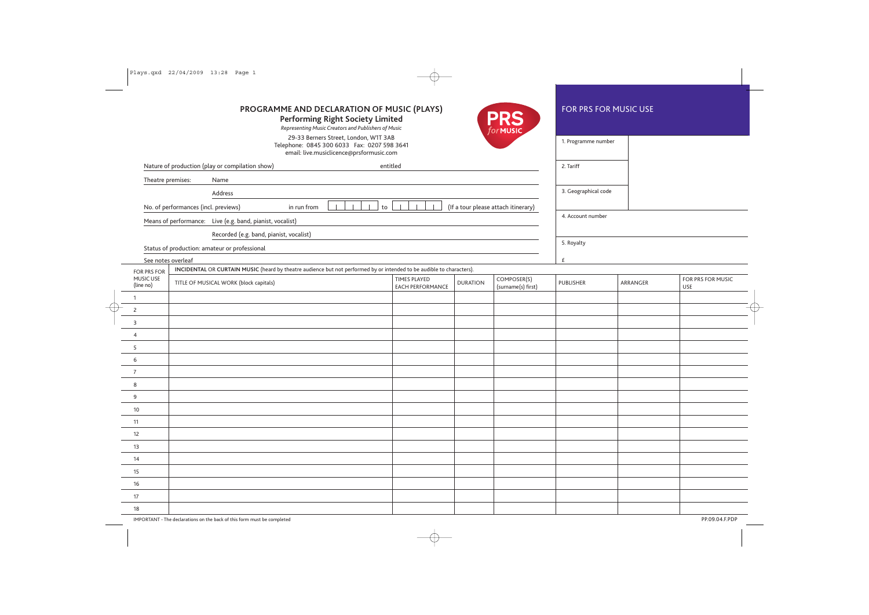| PROGRAMME AND DECLARATION OF MUSIC (PLAYS)<br>PRS<br><b>Performing Right Society Limited</b><br>Representing Music Creators and Publishers of Music<br>forMUSIC |                                                                                                                       |                                         |                 |                                   |                      | <b>FOR PRS FOR MUSIC USE</b> |                          |  |  |
|-----------------------------------------------------------------------------------------------------------------------------------------------------------------|-----------------------------------------------------------------------------------------------------------------------|-----------------------------------------|-----------------|-----------------------------------|----------------------|------------------------------|--------------------------|--|--|
| 29-33 Berners Street, London, W1T 3AB<br>Telephone: 0845 300 6033 Fax: 0207 598 3641<br>email: live.musiclicence@prsformusic.com                                |                                                                                                                       |                                         |                 |                                   |                      |                              |                          |  |  |
| Nature of production (play or compilation show)<br>entitled                                                                                                     |                                                                                                                       |                                         |                 |                                   | 2. Tariff            |                              |                          |  |  |
| Theatre premises:<br>Name                                                                                                                                       |                                                                                                                       |                                         |                 |                                   |                      |                              |                          |  |  |
| Address                                                                                                                                                         |                                                                                                                       |                                         |                 |                                   | 3. Geographical code |                              |                          |  |  |
| $\Box$<br>(If a tour please attach itinerary)<br>No. of performances (incl. previews)<br>$\mathsf{to}$<br>in run from                                           |                                                                                                                       |                                         |                 |                                   |                      |                              |                          |  |  |
| Means of performance: Live (e.g. band, pianist, vocalist)                                                                                                       |                                                                                                                       |                                         |                 |                                   |                      |                              |                          |  |  |
|                                                                                                                                                                 | Recorded (e.g. band, pianist, vocalist)                                                                               |                                         |                 |                                   |                      |                              |                          |  |  |
|                                                                                                                                                                 | Status of production: amateur or professional                                                                         |                                         |                 |                                   | 5. Royalty           |                              |                          |  |  |
| See notes overleaf                                                                                                                                              |                                                                                                                       |                                         |                 |                                   | £                    |                              |                          |  |  |
| FOR PRS FOR                                                                                                                                                     | INCIDENTAL OR CURTAIN MUSIC (heard by theatre audience but not performed by or intended to be audible to characters). |                                         |                 |                                   |                      |                              |                          |  |  |
| MUSIC USE<br>(line no)                                                                                                                                          | TITLE OF MUSICAL WORK (block capitals)                                                                                | TIMES PLAYED<br><b>EACH PERFORMANCE</b> | <b>DURATION</b> | COMPOSER(S)<br>(surname(s) first) | <b>PUBLISHER</b>     | ARRANGER                     | FOR PRS FOR MUSIC<br>USE |  |  |
| $\mathbf{1}$                                                                                                                                                    |                                                                                                                       |                                         |                 |                                   |                      |                              |                          |  |  |
| $\overline{2}$                                                                                                                                                  |                                                                                                                       |                                         |                 |                                   |                      |                              |                          |  |  |
| 3                                                                                                                                                               |                                                                                                                       |                                         |                 |                                   |                      |                              |                          |  |  |
| $\overline{4}$                                                                                                                                                  |                                                                                                                       |                                         |                 |                                   |                      |                              |                          |  |  |
| 5                                                                                                                                                               |                                                                                                                       |                                         |                 |                                   |                      |                              |                          |  |  |
| 6                                                                                                                                                               |                                                                                                                       |                                         |                 |                                   |                      |                              |                          |  |  |
| $\overline{7}$                                                                                                                                                  |                                                                                                                       |                                         |                 |                                   |                      |                              |                          |  |  |
| 8                                                                                                                                                               |                                                                                                                       |                                         |                 |                                   |                      |                              |                          |  |  |
| 9                                                                                                                                                               |                                                                                                                       |                                         |                 |                                   |                      |                              |                          |  |  |
| 10                                                                                                                                                              |                                                                                                                       |                                         |                 |                                   |                      |                              |                          |  |  |
| 11                                                                                                                                                              |                                                                                                                       |                                         |                 |                                   |                      |                              |                          |  |  |
| 12                                                                                                                                                              |                                                                                                                       |                                         |                 |                                   |                      |                              |                          |  |  |
| 13                                                                                                                                                              |                                                                                                                       |                                         |                 |                                   |                      |                              |                          |  |  |
| 14                                                                                                                                                              |                                                                                                                       |                                         |                 |                                   |                      |                              |                          |  |  |
| 15                                                                                                                                                              |                                                                                                                       |                                         |                 |                                   |                      |                              |                          |  |  |
| 16                                                                                                                                                              |                                                                                                                       |                                         |                 |                                   |                      |                              |                          |  |  |
| 17                                                                                                                                                              |                                                                                                                       |                                         |                 |                                   |                      |                              |                          |  |  |
| 18                                                                                                                                                              |                                                                                                                       |                                         |                 |                                   |                      |                              |                          |  |  |
| PP.09.04.F.PDP<br>IMPORTANT - The declarations on the back of this form must be completed                                                                       |                                                                                                                       |                                         |                 |                                   |                      |                              |                          |  |  |